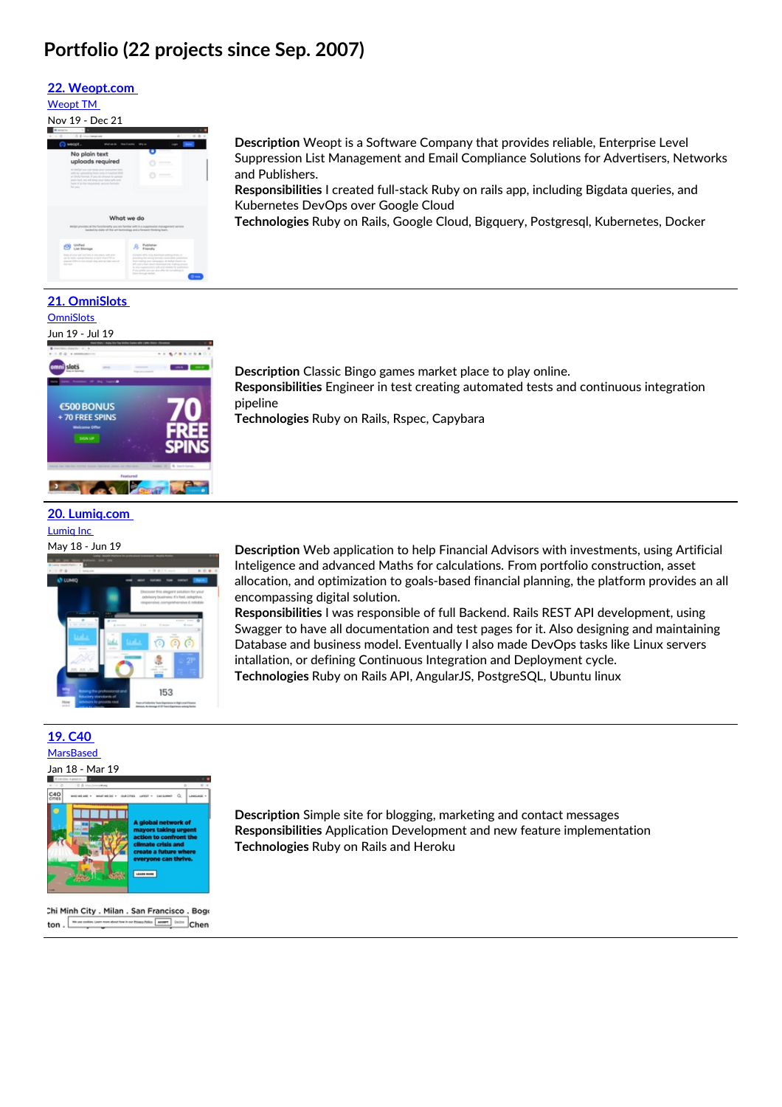## **Portfolio (22 projects since Sep. 2007)**

and Publishers.

pipeline

Kubernetes DevOps over Google Cloud

**Description** Classic Bingo games market place to play online.

**Technologies** Ruby on Rails, Rspec, Capybara

#### **22. [Weopt.com](https://weopt.com/)**

#### [Weopt](https://weopt.com) TM

Nov 19 - Dec 21



**21. OmniSlots [OmniSlots](https://omnislots.com)** 

### Jun 19 - Jul 19



### **20. [Lumiq.com](https://www.lumiq.com/)**

[Lumiq](https://lumiq.com) Inc



**Responsibilities** Engineer in test creating automated tests and continuous integration

**Description** Weopt is a Software Company that provides reliable, Enterprise Level Suppression List Management and Email Compliance Solutions for Advertisers, Networks

**Responsibilities** I created full-stack Ruby on rails app, including Bigdata queries, and

**Technologies** Ruby on Rails, Google Cloud, Bigquery, Postgresql, Kubernetes, Docker

May 18 - Jun 19 **Description** Web application to help Financial Advisors with investments, using Artificial Inteligence and advanced Maths for calculations. From portfolio construction, asset allocation, and optimization to goals-based financial planning, the platform provides an all encompassing digital solution.

> **Responsibilities** I was responsible of full Backend. Rails REST API development, using Swagger to have all documentation and test pages for it. Also designing and maintaining Database and business model. Eventually I also made DevOps tasks like Linux servers intallation, or defining Continuous Integration and Deployment cycle. **Technologies** Ruby on Rails API, AngularJS, PostgreSQL, Ubuntu linux

### **19. [C40](https://www.c40.org/)**



Chi Minh City . Milan . San Francisco . Bogo ton.  $\boxed{\cdots}$ reduction is not friend fully. **Example 1983** Chen

**Description** Simple site for blogging, marketing and contact messages **Responsibilities** Application Development and new feature implementation **Technologies** Ruby on Rails and Heroku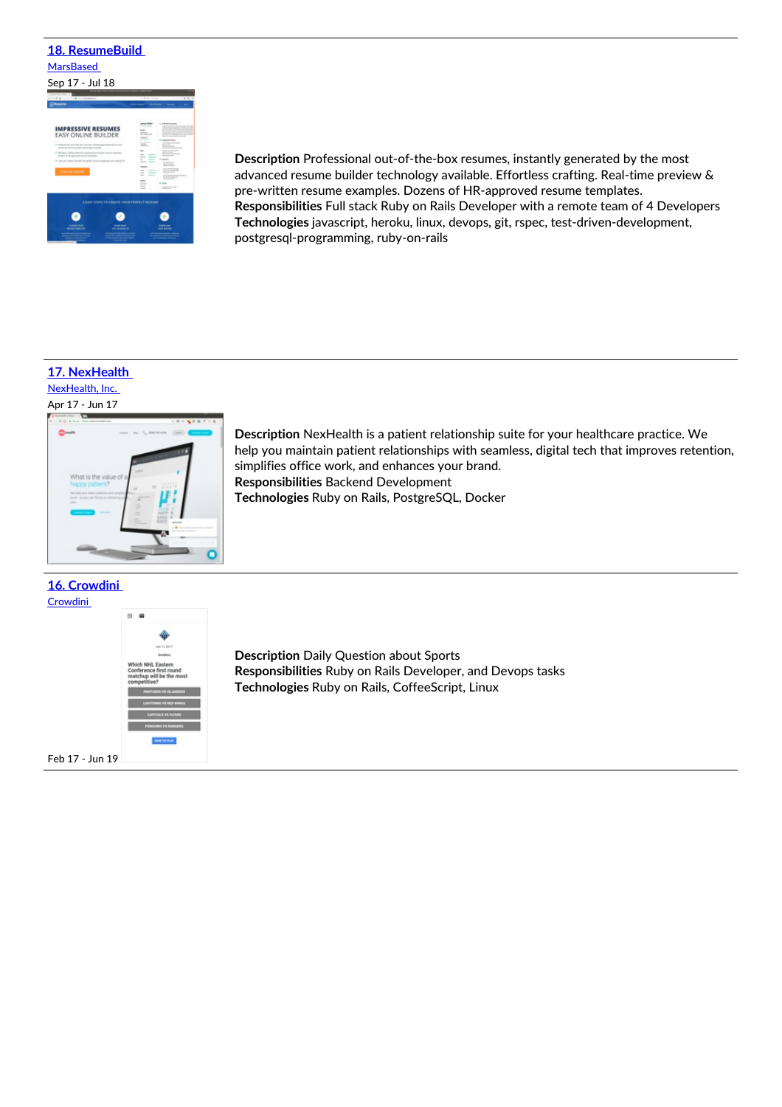# **18. [ResumeBuild](https://resumebuild.com/) [MarsBased](https://marsbased.com/)** Sep 17 - Jul 18 **IMPRESSIVE RESUMES**<br>EASY ONLINE BUILDER

 $\bullet$  $\bullet$  $\bullet$ 

**Description** Professional out-of-the-box resumes, instantly generated by the most advanced resume builder technology available. Effortless crafting. Real-time preview & pre-written resume examples. Dozens of HR-approved resume templates. **Responsibilities** Full stack Ruby on Rails Developer with a remote team of 4 Developers **Technologies** javascript, heroku, linux, devops, git, rspec, test-driven-development, postgresql-programming, ruby-on-rails

### **17. [NexHealth](https://www.nexhealth.com/)**

[NexHealth,](https://nexhealth.com) Inc.



**16. [Crowdini](https://staging.crowdini.com/)** [Crowdini](file:///projects)



Feb 17 - Jun 19

**Description** NexHealth is a patient relationship suite for your healthcare practice. We help you maintain patient relationships with seamless, digital tech that improves retention, simplifies office work, and enhances your brand. **Responsibilities** Backend Development **Technologies** Ruby on Rails, PostgreSQL, Docker

**Description** Daily Question about Sports **Responsibilities** Ruby on Rails Developer, and Devops tasks **Technologies** Ruby on Rails, CoffeeScript, Linux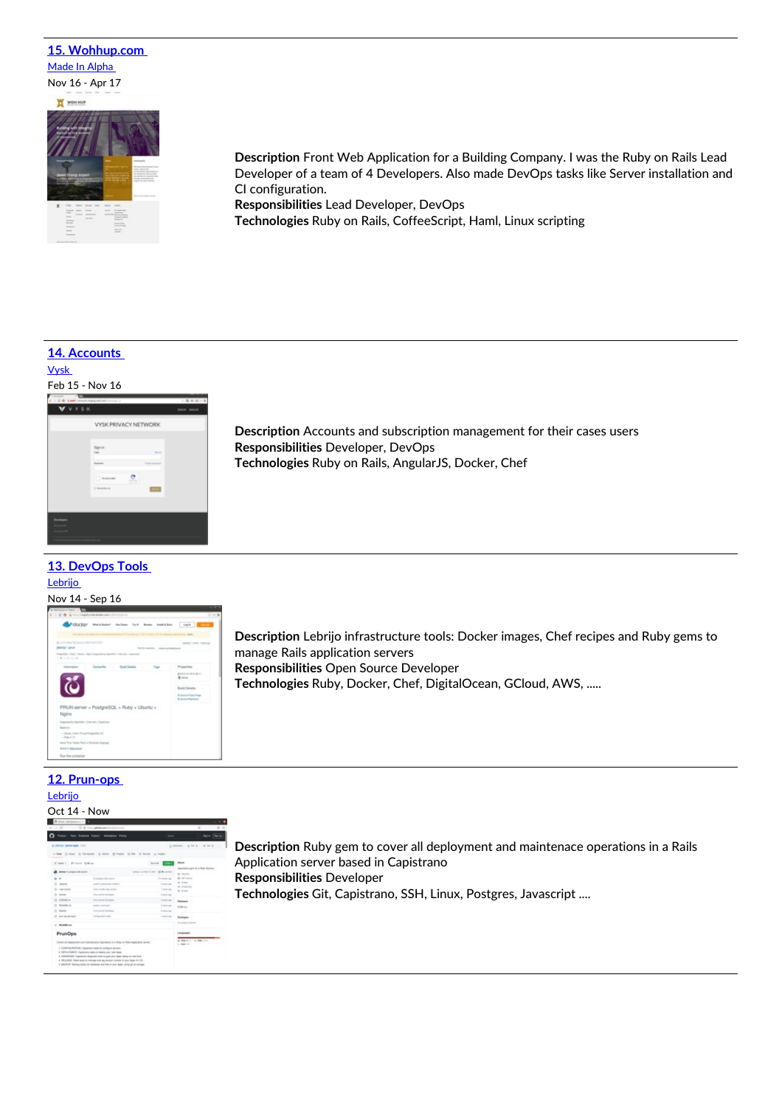### **15. [Wohhup.com](http://www.wohhup.com/)** Made In [Alpha](https://www.madeinalpha.com/)

Nov 16 - Apr 17



**Description** Front Web Application for a Building Company. I was the Ruby on Rails Lead Developer of a team of 4 Developers. Also made DevOps tasks like Server installation and CI configuration.

**Responsibilities** Lead Developer, DevOps **Technologies** Ruby on Rails, CoffeeScript, Haml, Linux scripting

### **14. [Accounts](https://api.accounts.staging.vysk.com/)**



**13. [DevOps](https://supermarket.chef.io/cookbooks/prun-cfg) Tools**

#### [Lebrijo](https://lebrijo.com)

#### Nov 14 - Sep 16

|                                                                                                  | The grading Rock distribute a party 1, 21, 11 |                                                        |                                              |                                                    |
|--------------------------------------------------------------------------------------------------|-----------------------------------------------|--------------------------------------------------------|----------------------------------------------|----------------------------------------------------|
|                                                                                                  |                                               | <b>Polockey</b> Wareholm! Inclaim Tyll Bone Institutes |                                              | tech Entry                                         |
|                                                                                                  |                                               |                                                        |                                              |                                                    |
| @ AUTOMATED BULL/HEROATORY<br>jebrici prun                                                       |                                               | <b>STATISTICS</b>                                      | Further agencies<br>disclose and interiorate | Edelbank Freehoff, 7 streets audi-                 |
| Postpolitik + Parky + Ukoliky + Ngris (Inggerikal by Operation - Ond with - Superstand<br>180108 |                                               |                                                        |                                              |                                                    |
| Information                                                                                      | Declaritie                                    | <b>Build Details</b>                                   | Tage                                         | <b>Programlians</b>                                |
|                                                                                                  |                                               |                                                        |                                              | <b>BUTA IS IS FUR TO</b><br><b>B</b> service       |
|                                                                                                  |                                               |                                                        |                                              |                                                    |
|                                                                                                  |                                               |                                                        |                                              | <b>Build Details</b>                               |
|                                                                                                  |                                               |                                                        |                                              | No Source Propert Fage<br><b>A Secret Reserves</b> |
|                                                                                                  |                                               | PRUN server = PostgreSQL + Ruby + Ubuntu +             |                                              |                                                    |
| Nginx                                                                                            |                                               |                                                        |                                              |                                                    |
| Reported by Dearthlet + Chat add + Reported                                                      |                                               |                                                        |                                              |                                                    |
| Source: car                                                                                      |                                               |                                                        |                                              |                                                    |
| - Ukania 19 (9 LTD and Forspell/3), EO<br>$-$ Platte 8.1 (8)                                     |                                               |                                                        |                                              |                                                    |
| Starter Plust states or Plust in Businessen benganged                                            |                                               |                                                        |                                              |                                                    |
| <b>Don't in Days paints</b>                                                                      |                                               |                                                        |                                              |                                                    |
|                                                                                                  |                                               |                                                        |                                              |                                                    |

**12. [Prun-ops](https://github.com/jlebrijo/prun-ops)**

[Lebrijo](https://lebrijo.com)

| (L. Melledon)<br>or that do<br>$  -$<br>Abrah<br><b>Decision</b><br>Operations part for a Rada Sanatra.<br>partiest on Fab 19, 2021 . Cli Me constrain<br><b>O</b> Suite<br>4 WT Lores<br>the months was<br>di Asian<br>3 mm sp<br>di ruono<br>T plants App<br>W 4 brits | $P = 0$                                                                         | O & Insurational control can                                                         |              | $\alpha$                                                            |  |
|--------------------------------------------------------------------------------------------------------------------------------------------------------------------------------------------------------------------------------------------------------------------------|---------------------------------------------------------------------------------|--------------------------------------------------------------------------------------|--------------|---------------------------------------------------------------------|--|
|                                                                                                                                                                                                                                                                          |                                                                                 |                                                                                      |              |                                                                     |  |
|                                                                                                                                                                                                                                                                          | D. Bellefan, Seltak-Alpie, Tusse                                                |                                                                                      |              |                                                                     |  |
|                                                                                                                                                                                                                                                                          |                                                                                 | 11-Tells 12 lease. It Ashmarek. ID Allers. ID Property. ID Records. In Angles.       |              |                                                                     |  |
|                                                                                                                                                                                                                                                                          | Freeze - Filterol Grillings                                                     |                                                                                      |              |                                                                     |  |
|                                                                                                                                                                                                                                                                          | <b>Selectio</b> To constitutes data account                                     |                                                                                      |              |                                                                     |  |
|                                                                                                                                                                                                                                                                          | . .                                                                             | <b>Vienters del more</b>                                                             |              | <b><i><u><u><u><b>Rollenson</b></u></u></u></i></b><br>College more |  |
|                                                                                                                                                                                                                                                                          | D. Warren                                                                       | and is unreliant and artists<br>_____                                                |              |                                                                     |  |
|                                                                                                                                                                                                                                                                          | $7$ rely-sense.                                                                 | new tests also wone                                                                  |              |                                                                     |  |
|                                                                                                                                                                                                                                                                          |                                                                                 | Fox subsidiar fractures                                                              | I start ago  |                                                                     |  |
| It story are                                                                                                                                                                                                                                                             |                                                                                 | Fox career familians                                                                 |              |                                                                     |  |
| A prior's Auto                                                                                                                                                                                                                                                           | <b>All all ed</b> and                                                           | <b>Southern Committee</b>                                                            |              |                                                                     |  |
| it seems more                                                                                                                                                                                                                                                            | <b>Statute</b>                                                                  | Fed served Services                                                                  |              |                                                                     |  |
|                                                                                                                                                                                                                                                                          |                                                                                 | Carolina state State                                                                 | I shorts may | <b><i><u>Renkaline</u></i></b>                                      |  |
|                                                                                                                                                                                                                                                                          |                                                                                 |                                                                                      |              | the cardinal are and thereon                                        |  |
|                                                                                                                                                                                                                                                                          | PrunOps                                                                         |                                                                                      |              | Languages                                                           |  |
|                                                                                                                                                                                                                                                                          |                                                                                 | County of Treatment and manhemore Clearations in a Rate on Rate state attack network |              | a his control and state<br>an Mark Life                             |  |
|                                                                                                                                                                                                                                                                          | (1 mm)<br>(b) collection<br>n<br>$\mathbb{R}$<br>2 por en prince<br>1 60 ADM AV | <b>Contract Contract Contract</b>                                                    |              |                                                                     |  |
|                                                                                                                                                                                                                                                                          |                                                                                 |                                                                                      |              |                                                                     |  |
|                                                                                                                                                                                                                                                                          |                                                                                 |                                                                                      |              |                                                                     |  |
|                                                                                                                                                                                                                                                                          |                                                                                 |                                                                                      |              |                                                                     |  |
|                                                                                                                                                                                                                                                                          |                                                                                 |                                                                                      |              |                                                                     |  |
|                                                                                                                                                                                                                                                                          |                                                                                 |                                                                                      |              |                                                                     |  |

**Description** Accounts and subscription management for their cases users **Responsibilities** Developer, DevOps **Technologies** Ruby on Rails, AngularJS, Docker, Chef

**Description** Lebrijo infrastructure tools: Docker images, Chef recipes and Ruby gems to manage Rails application servers **Responsibilities** Open Source Developer **Technologies** Ruby, Docker, Chef, DigitalOcean, GCloud, AWS, .....

**Description** Ruby gem to cover all deployment and maintenace operations in a Rails Application server based in Capistrano **Responsibilities** Developer **Technologies** Git, Capistrano, SSH, Linux, Postgres, Javascript ....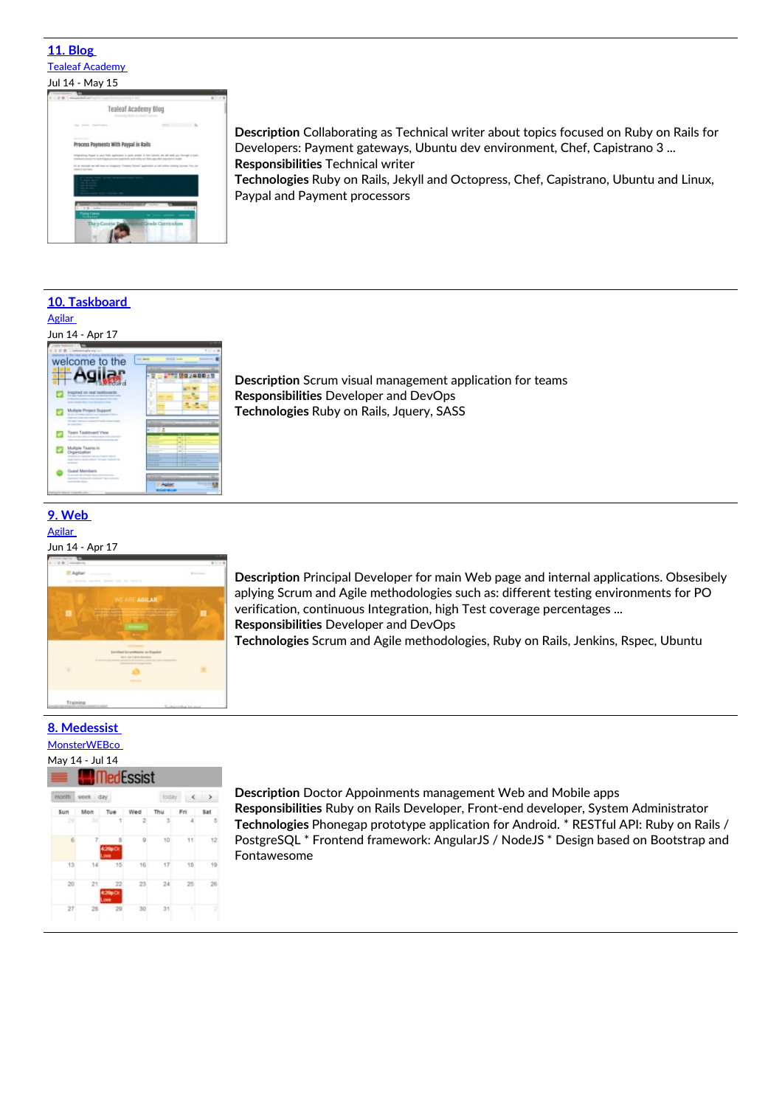#### **11. [Blog](http://www.gotealeaf.com/blog)** Tealeaf [Academy](https://launchschool.com/) Jul 14 - May 15



**Description** Collaborating as Technical writer about topics focused on Ruby on Rails for Developers: Payment gateways, Ubuntu dev environment, Chef, Capistrano 3 ... **Responsibilities** Technical writer

**Technologies** Ruby on Rails, Jekyll and Octopress, Chef, Capistrano, Ubuntu and Linux, Paypal and Payment processors

#### **10. [Taskboard](http://taskboard.agilar.org)** [Agilar](https://agilar.com/home)

### Jun 14 - Apr 17



**Description** Scrum visual management application for teams **Responsibilities** Developer and DevOps **Technologies** Ruby on Rails, Jquery, SASS

### **9. [Web](http://www.agilar.org/)**



**Description** Principal Developer for main Web page and internal applications. Obsesibely aplying Scrum and Agile methodologies such as: different testing environments for PO verification, continuous Integration, high Test coverage percentages ... **Responsibilities** Developer and DevOps

**Technologies** Scrum and Agile methodologies, Ruby on Rails, Jenkins, Rspec, Ubuntu

### **8. [Medessist](http://medessist.lebrijo.com/Medessist-release.apk)**

### **[MonsterWEBco](file:///projects)**

 $\overline{z}$ 



 $12$ 

10

 $26$ 

 $\overline{31}$  $30$ 

**Description** Doctor Appoinments management Web and Mobile apps **Responsibilities** Ruby on Rails Developer, Front-end developer, System Administrator **Technologies** Phonegap prototype application for Android. \* RESTful API: Ruby on Rails / PostgreSQL \* Frontend framework: AngularJS / NodeJS \* Design based on Bootstrap and Fontawesome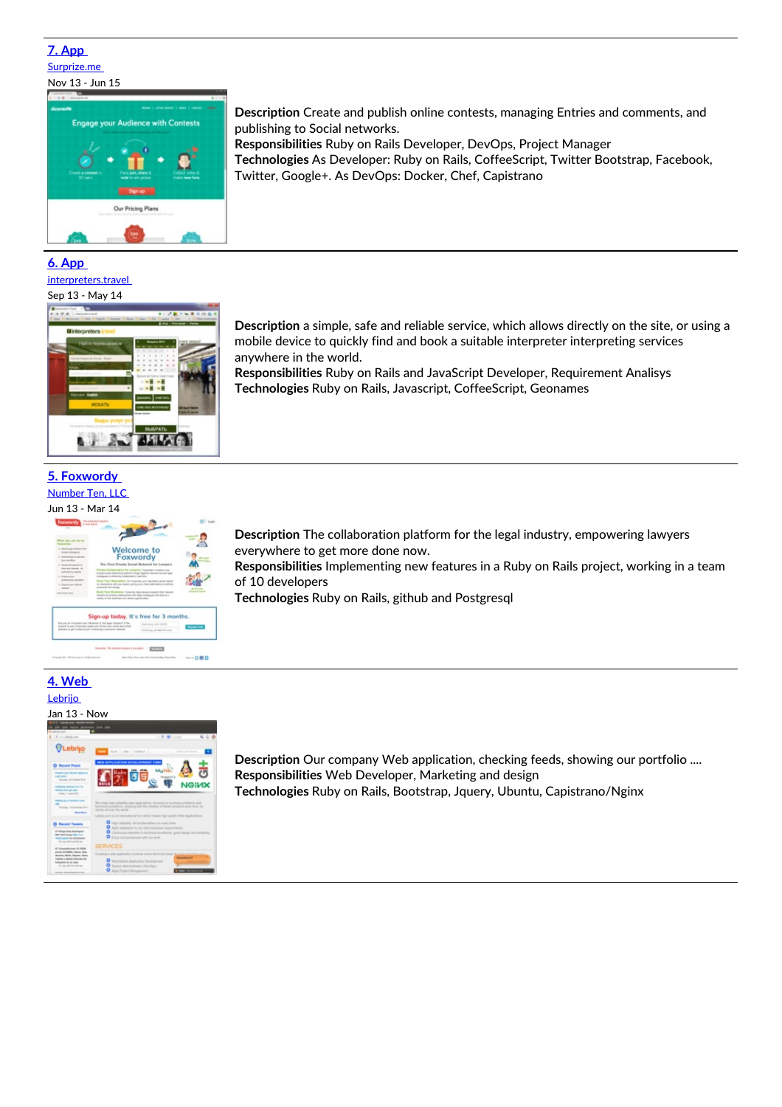### **7. [App](http://www.surprize.me)** [Surprize.me](file:///projects)





#### **6. [App](http://interpreters.travel/)**

#### [interpreters.travel](https://www.interpreters.travel/en/)

#### Sep 13 - May 14



#### **5. [Foxwordy](https://foxwordy.com)** [Number](https://www.nr10.com/) Ten, LLC

# Jun 13 - Mar 14



 $-1000$ 

**Description** The collaboration platform for the legal industry, empowering lawyers

everywhere to get more done now. **Responsibilities** Implementing new features in a Ruby on Rails project, working in a team of 10 developers

**Technologies** Ruby on Rails, github and Postgresql

### **4. [Web](http://www.lebrijo.com)**

### [Lebrijo](https://lebrijo.com)



**Description** Our company Web application, checking feeds, showing our portfolio .... **Responsibilities** Web Developer, Marketing and design **Technologies** Ruby on Rails, Bootstrap, Jquery, Ubuntu, Capistrano/Nginx

**Description** Create and publish online contests, managing Entries and comments, and publishing to Social networks.

**Responsibilities** Ruby on Rails Developer, DevOps, Project Manager **Technologies** As Developer: Ruby on Rails, CoffeeScript, Twitter Bootstrap, Facebook, Twitter, Google+. As DevOps: Docker, Chef, Capistrano

**Description** a simple, safe and reliable service, which allows directly on the site, or using a mobile device to quickly find and book a suitable interpreter interpreting services anywhere in the world.

**Responsibilities** Ruby on Rails and JavaScript Developer, Requirement Analisys **Technologies** Ruby on Rails, Javascript, CoffeeScript, Geonames